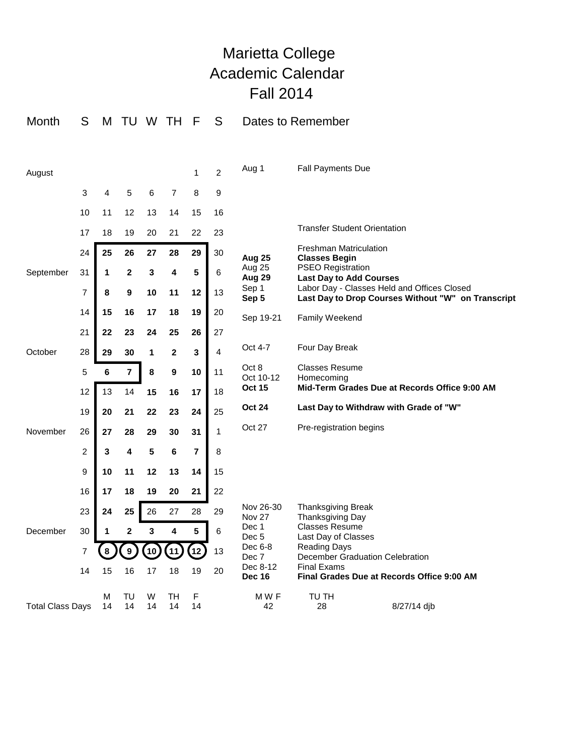## Marietta College Academic Calendar Fall 2014

| Month                   | S              | M                      | <b>TU</b>                                                                 |         | W TH                                                   | F                                   | S              | Dates to Remember                            |                                                                                                                                                                                                                                                                 |                                        |  |
|-------------------------|----------------|------------------------|---------------------------------------------------------------------------|---------|--------------------------------------------------------|-------------------------------------|----------------|----------------------------------------------|-----------------------------------------------------------------------------------------------------------------------------------------------------------------------------------------------------------------------------------------------------------------|----------------------------------------|--|
| August                  |                |                        |                                                                           |         |                                                        | 1                                   | $\overline{c}$ | Aug 1                                        | <b>Fall Payments Due</b>                                                                                                                                                                                                                                        |                                        |  |
| September               | 3              | 4                      | 5                                                                         | 6       | 7                                                      | 8                                   | 9              |                                              |                                                                                                                                                                                                                                                                 |                                        |  |
|                         | 10             | 11                     | 12                                                                        | 13      | 14                                                     | 15                                  | 16             |                                              |                                                                                                                                                                                                                                                                 |                                        |  |
|                         | 17             | 18                     | 19                                                                        | 20      | 21                                                     | 22                                  | 23             |                                              | <b>Transfer Student Orientation</b><br><b>Freshman Matriculation</b><br><b>Classes Begin</b><br><b>PSEO Registration</b><br><b>Last Day to Add Courses</b><br>Labor Day - Classes Held and Offices Closed<br>Last Day to Drop Courses Without "W" on Transcript |                                        |  |
|                         | 24             | 25                     | 26                                                                        | 27      | 28                                                     | 29                                  | 30             | <b>Aug 25</b>                                |                                                                                                                                                                                                                                                                 |                                        |  |
|                         | 31             | 1                      | $\mathbf{2}$                                                              | 3       | 4                                                      | 5                                   | 6              | Aug 25<br>Aug 29<br>Sep 1<br>Sep 5           |                                                                                                                                                                                                                                                                 |                                        |  |
|                         | $\overline{7}$ | 8                      | 9                                                                         | 10      | 11                                                     | 12                                  | 13             |                                              |                                                                                                                                                                                                                                                                 |                                        |  |
|                         | 14             | 15                     | 16                                                                        | 17      | 18                                                     | 19                                  | 20             | Sep 19-21                                    | <b>Family Weekend</b>                                                                                                                                                                                                                                           |                                        |  |
|                         | 21             | 22                     | 23                                                                        | 24      | 25                                                     | 26                                  | 27             |                                              |                                                                                                                                                                                                                                                                 |                                        |  |
| October                 | 28             | 29                     | 30                                                                        | 1       | $\mathbf 2$                                            | 3                                   | 4              | Oct 4-7                                      | Four Day Break                                                                                                                                                                                                                                                  |                                        |  |
|                         | 5              | $\bf 6$<br>7<br>8<br>9 | 10                                                                        | 11      | Oct 8<br>Oct 10-12                                     | <b>Classes Resume</b><br>Homecoming |                |                                              |                                                                                                                                                                                                                                                                 |                                        |  |
|                         | 12             | 13                     | 14                                                                        | 15      | 16                                                     | 17                                  | 18             | <b>Oct 15</b>                                | Mid-Term Grades Due at Records Office 9:00 AM                                                                                                                                                                                                                   |                                        |  |
|                         | 19             | 20                     | 21                                                                        | 22      | 23                                                     | 24                                  | 25             | <b>Oct 24</b>                                |                                                                                                                                                                                                                                                                 | Last Day to Withdraw with Grade of "W" |  |
| November                | 26             | 27                     | 28                                                                        | 29      | 30                                                     | 31                                  | $\mathbf{1}$   | Oct 27                                       | Pre-registration begins                                                                                                                                                                                                                                         |                                        |  |
|                         | $\overline{c}$ | 3                      | 4                                                                         | 5       | 6                                                      | $\overline{7}$                      | 8              |                                              |                                                                                                                                                                                                                                                                 |                                        |  |
|                         | 9              | 10                     | 11                                                                        | 12      | 13                                                     | 14                                  | 15             |                                              |                                                                                                                                                                                                                                                                 |                                        |  |
|                         | 16             | 17                     | 18                                                                        | 19      | 20                                                     | 21                                  | 22             | Nov 26-30<br><b>Nov 27</b><br>Dec 1<br>Dec 5 |                                                                                                                                                                                                                                                                 |                                        |  |
|                         | 23             | 24                     | 25                                                                        | 26      | 27                                                     | 28                                  | 29             |                                              | <b>Thanksgiving Break</b><br>Thanksgiving Day                                                                                                                                                                                                                   |                                        |  |
| December                | 30             | 1                      | $\overline{2}$                                                            | 3       | 4                                                      | 5                                   | 6              |                                              | <b>Classes Resume</b><br>Last Day of Classes                                                                                                                                                                                                                    |                                        |  |
|                         | $\overline{7}$ |                        | Dec 6-8<br>$\boldsymbol{9}$<br>13<br>10<br>$\overline{11}$<br>12<br>Dec 7 |         | <b>Reading Days</b><br>December Graduation Celebration |                                     |                |                                              |                                                                                                                                                                                                                                                                 |                                        |  |
|                         | 14             | 15                     | 16                                                                        | 17      | 18                                                     | 19                                  | 20             | Dec 8-12<br><b>Dec 16</b>                    | <b>Final Exams</b><br>Final Grades Due at Records Office 9:00 AM                                                                                                                                                                                                |                                        |  |
| <b>Total Class Days</b> |                | М<br>14                | TU<br>14                                                                  | W<br>14 | TH<br>14                                               | F<br>14                             |                | M W F<br>42                                  | TU TH<br>28                                                                                                                                                                                                                                                     | 8/27/14 dib                            |  |